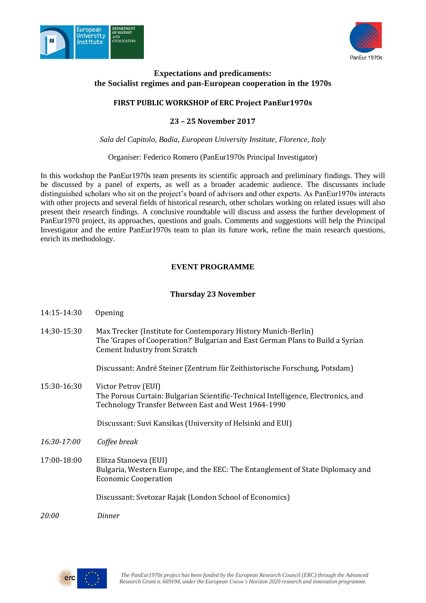



# **Expectations and predicaments: the Socialist regimes and pan-European cooperation in the 1970s**

# **FIRST PUBLIC WORKSHOP of ERC Project PanEur1970s**

### **23 – 25 November 2017**

*Sala del Capitolo, Badia, European University Institute, Florence, Italy*

Organiser: Federico Romero (PanEur1970s Principal Investigator)

In this workshop the PanEur1970s team presents its scientific approach and preliminary findings. They will be discussed by a panel of experts, as well as a broader academic audience. The discussants include distinguished scholars who sit on the project's board of advisors and other experts. As PanEur1970s interacts with other projects and several fields of historical research, other scholars working on related issues will also present their research findings. A conclusive roundtable will discuss and assess the further development of PanEur1970 project, its approaches, questions and goals. Comments and suggestions will help the Principal Investigator and the entire PanEur1970s team to plan its future work, refine the main research questions, enrich its methodology.

### **EVENT PROGRAMME**

#### **Thursday 23 November**

- 14:15-14:30 Opening
- 14:30-15:30 Max Trecker (Institute for Contemporary History Munich-Berlin) The 'Grapes of Cooperation?' Bulgarian and East German Plans to Build a Syrian Cement Industry from Scratch

Discussant: André Steiner (Zentrum für Zeithistorische Forschung, Potsdam)

15:30-16:30 Victor Petrov (EUI) The Porous Curtain: Bulgarian Scientific-Technical Intelligence, Electronics, and Technology Transfer Between East and West 1964-1990

Discussant: Suvi Kansikas (University of Helsinki and EUI)

- *16:30-17:00 Coffee break*
- 17:00-18:00 Elitza Stanoeva (EUI) Bulgaria, Western Europe, and the EEC: The Entanglement of State Diplomacy and Economic Cooperation

Discussant: Svetozar Rajak (London School of Economics)

*20:00 Dinner*